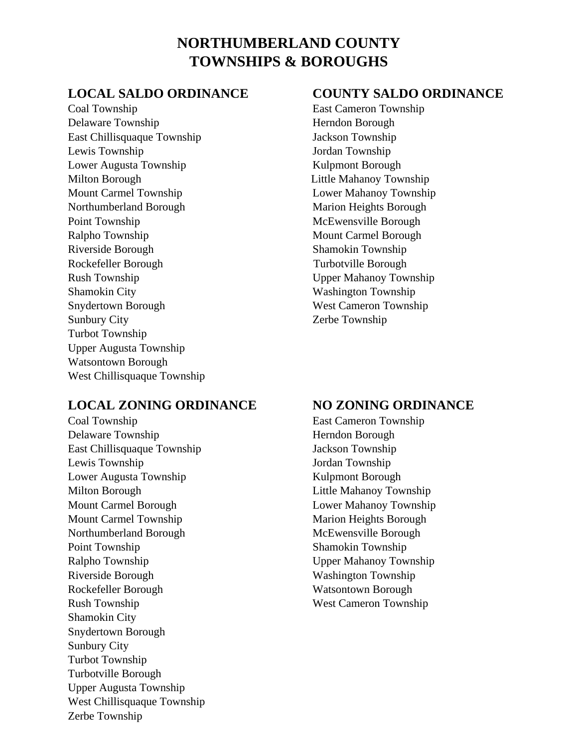# **NORTHUMBERLAND COUNTY TOWNSHIPS & BOROUGHS**

Coal Township East Cameron Township Delaware Township Herndon Borough East Chillisquaque Township Jackson Township Lewis Township Jordan Township Lower Augusta Township Kulpmont Borough Milton Borough Little Mahanoy Township Mount Carmel Township Lower Mahanoy Township Northumberland Borough Marion Heights Borough Point Township McEwensville Borough Ralpho Township Mount Carmel Borough Riverside Borough Shamokin Township Rockefeller Borough Turbotville Borough Rush Township Upper Mahanoy Township Shamokin City Washington Township Snydertown Borough West Cameron Township Sunbury City **Zerbe Township** Turbot Township Upper Augusta Township Watsontown Borough West Chillisquaque Township

## **LOCAL ZONING ORDINANCE NO ZONING ORDINANCE**

Coal Township East Cameron Township Delaware Township Herndon Borough East Chillisquaque Township Jackson Township Lewis Township Jordan Township Lower Augusta Township Kulpmont Borough Milton Borough Little Mahanoy Township Mount Carmel Borough Lower Mahanoy Township Mount Carmel Township Marion Heights Borough Northumberland Borough McEwensville Borough Point Township Shamokin Township Ralpho Township Upper Mahanoy Township Riverside Borough Washington Township Rockefeller Borough Watsontown Borough Rush Township West Cameron Township Shamokin City Snydertown Borough Sunbury City Turbot Township Turbotville Borough Upper Augusta Township West Chillisquaque Township Zerbe Township

### **LOCAL SALDO ORDINANCE COUNTY SALDO ORDINANCE**